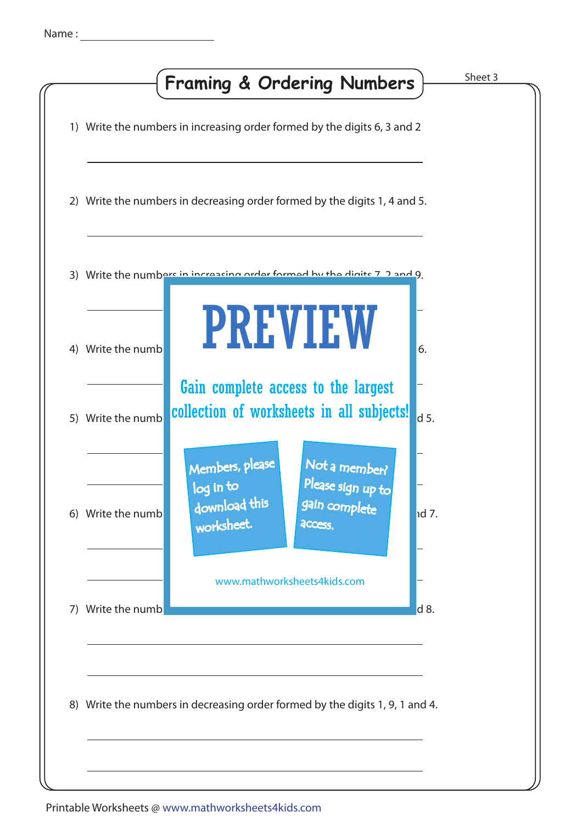|    |                   | <b>Framing &amp; Ordering Numbers</b>                                        |                                                                | Sheet 3      |
|----|-------------------|------------------------------------------------------------------------------|----------------------------------------------------------------|--------------|
|    |                   | 1) Write the numbers in increasing order formed by the digits 6, 3 and 2     |                                                                |              |
|    |                   | 2) Write the numbers in decreasing order formed by the digits 1, 4 and 5.    |                                                                |              |
|    |                   | 3) Write the numbers in increasing order formed by the digits 7 2 and 9      |                                                                |              |
| 4) | Write the numb    |                                                                              | <b>PREVIEW</b>                                                 | 6.           |
|    | 5) Write the numb | collection of worksheets in all subjects!                                    | Gain complete access to the largest                            | $d$ 5.       |
|    | 6) Write the numb | Members, please<br>log in to<br>download this<br>worksheet.                  | Not a member?<br>Please sign up to<br>gain complete<br>access. | <b>Id</b> 7. |
| 7) | Write the numb    |                                                                              | www.mathworksheets4kids.com                                    | d 8.         |
|    |                   | 8) Write the numbers in decreasing order formed by the digits 1, 9, 1 and 4. |                                                                |              |
|    |                   |                                                                              |                                                                |              |

## Printable Worksheets @ www.mathworksheets4kids.com